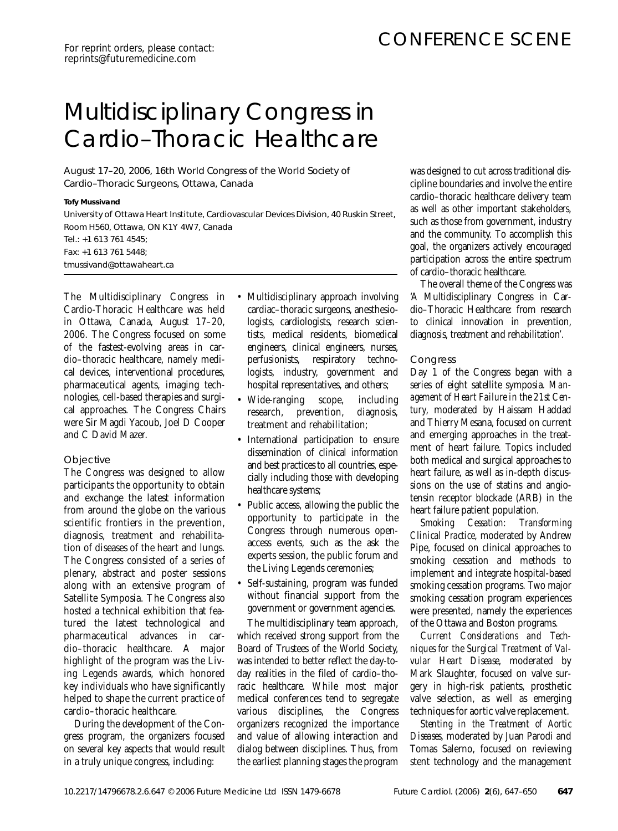# Multidisciplinary Congress in Cardio–Thoracic Healthcare

August 17–20, 2006, 16th World Congress of the World Society of Cardio–Thoracic Surgeons, Ottawa, Canada

#### *Tofy Mussivand*

*University of Ottawa Heart Institute, Cardiovascular Devices Division, 40 Ruskin Street, Room H560, Ottawa, ON K1Y 4W7, Canada Tel.: +1 613 761 4545; Fax: +1 613 761 5448; tmussivand@ottawaheart.ca*

The Multidisciplinary Congress in Cardio-Thoracic Healthcare was held in Ottawa, Canada, August 17–20, 2006. The Congress focused on some of the fastest-evolving areas in cardio–thoracic healthcare, namely medical devices, interventional procedures, pharmaceutical agents, imaging technologies, cell-based therapies and surgical approaches. The Congress Chairs were Sir Magdi Yacoub, Joel D Cooper and C David Mazer.

# **Objective**

The Congress was designed to allow participants the opportunity to obtain and exchange the latest information from around the globe on the various scientific frontiers in the prevention, diagnosis, treatment and rehabilitation of diseases of the heart and lungs. The Congress consisted of a series of plenary, abstract and poster sessions along with an extensive program of Satellite Symposia. The Congress also hosted a technical exhibition that featured the latest technological and pharmaceutical advances in cardio–thoracic healthcare. A major highlight of the program was the Living Legends awards, which honored key individuals who have significantly helped to shape the current practice of cardio–thoracic healthcare.

During the development of the Congress program, the organizers focused on several key aspects that would result in a truly unique congress, including:

- Multidisciplinary approach involving cardiac–thoracic surgeons, anesthesiologists, cardiologists, research scientists, medical residents, biomedical engineers, clinical engineers, nurses, perfusionists, respiratory technologists, industry, government and hospital representatives, and others;
- Wide-ranging scope, including research, prevention, diagnosis, treatment and rehabilitation;
- International participation to ensure dissemination of clinical information and best practices to all countries, especially including those with developing healthcare systems;
- Public access, allowing the public the opportunity to participate in the Congress through numerous openaccess events, such as the ask the experts session, the public forum and the Living Legends ceremonies;
- Self-sustaining, program was funded without financial support from the government or government agencies.

The multidisciplinary team approach, which received strong support from the Board of Trustees of the World Society, was intended to better reflect the day-today realities in the filed of cardio–thoracic healthcare. While most major medical conferences tend to segregate various disciplines, the Congress organizers recognized the importance and value of allowing interaction and dialog between disciplines. Thus, from the earliest planning stages the program

was designed to cut across traditional discipline boundaries and involve the entire cardio–thoracic healthcare delivery team as well as other important stakeholders, such as those from government, industry and the community. To accomplish this goal, the organizers actively encouraged participation across the entire spectrum of cardio–thoracic healthcare.

The overall theme of the Congress was 'A Multidisciplinary Congress in Cardio–Thoracic Healthcare: from research to clinical innovation in prevention, diagnosis, treatment and rehabilitation'.

# **Congress**

Day 1 of the Congress began with a series of eight satellite symposia. *Management of Heart Failure in the 21st Century*, moderated by Haissam Haddad and Thierry Mesana, focused on current and emerging approaches in the treatment of heart failure. Topics included both medical and surgical approaches to heart failure, as well as in-depth discussions on the use of statins and angiotensin receptor blockade (ARB) in the heart failure patient population.

*Smoking Cessation: Transforming Clinical Practice*, moderated by Andrew Pipe, focused on clinical approaches to smoking cessation and methods to implement and integrate hospital-based smoking cessation programs. Two major smoking cessation program experiences were presented, namely the experiences of the Ottawa and Boston programs.

*Current Considerations and Techniques for the Surgical Treatment of Valvular Heart Disease*, moderated by Mark Slaughter, focused on valve surgery in high-risk patients, prosthetic valve selection, as well as emerging techniques for aortic valve replacement.

*Stenting in the Treatment of Aortic Diseases*, moderated by Juan Parodi and Tomas Salerno, focused on reviewing stent technology and the management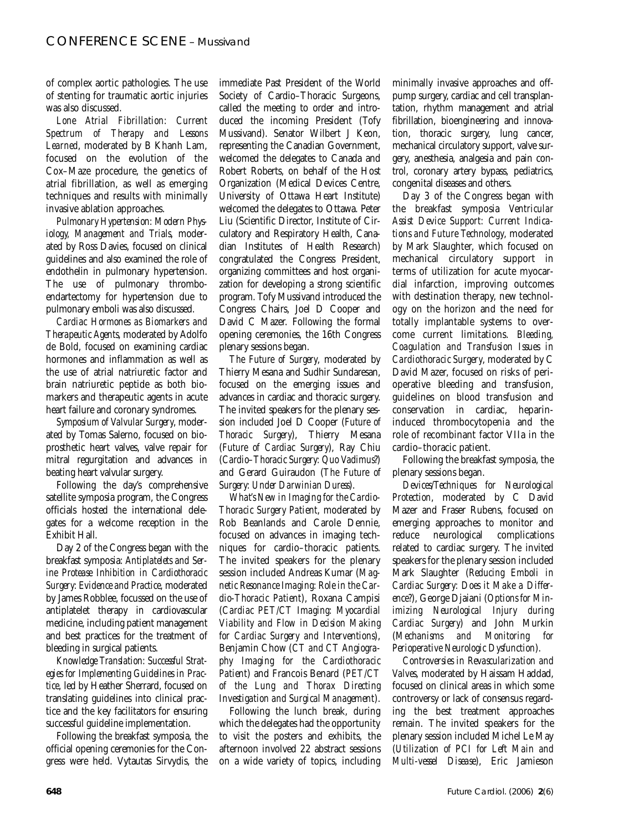of complex aortic pathologies. The use of stenting for traumatic aortic injuries was also discussed.

*Lone Atrial Fibrillation: Current Spectrum of Therapy and Lessons Learned*, moderated by B Khanh Lam, focused on the evolution of the Cox–Maze procedure, the genetics of atrial fibrillation, as well as emerging techniques and results with minimally invasive ablation approaches.

*Pulmonary Hypertension: Modern Physiology, Management and Trials*, moderated by Ross Davies, focused on clinical guidelines and also examined the role of endothelin in pulmonary hypertension. The use of pulmonary thromboendartectomy for hypertension due to pulmonary emboli was also discussed.

*Cardiac Hormones as Biomarkers and Therapeutic Agents*, moderated by Adolfo de Bold, focused on examining cardiac hormones and inflammation as well as the use of atrial natriuretic factor and brain natriuretic peptide as both biomarkers and therapeutic agents in acute heart failure and coronary syndromes.

*Symposium of Valvular Surgery*, moderated by Tomas Salerno, focused on bioprosthetic heart valves, valve repair for mitral regurgitation and advances in beating heart valvular surgery.

Following the day's comprehensive satellite symposia program, the Congress officials hosted the international delegates for a welcome reception in the Exhibit Hall.

Day 2 of the Congress began with the breakfast symposia: *Antiplatelets and Serine Protease Inhibition in Cardiothoracic Surgery: Evidence and Practice*, moderated by James Robblee, focussed on the use of antiplatelet therapy in cardiovascular medicine, including patient management and best practices for the treatment of bleeding in surgical patients.

*Knowledge Translation: Successful Strategies for Implementing Guidelines in Practice*, led by Heather Sherrard, focused on translating guidelines into clinical practice and the key facilitators for ensuring successful guideline implementation.

Following the breakfast symposia, the official opening ceremonies for the Congress were held. Vytautas Sirvydis, the immediate Past President of the World Society of Cardio–Thoracic Surgeons, called the meeting to order and introduced the incoming President (Tofy Mussivand). Senator Wilbert J Keon, representing the Canadian Government, welcomed the delegates to Canada and Robert Roberts, on behalf of the Host Organization (Medical Devices Centre, University of Ottawa Heart Institute) welcomed the delegates to Ottawa. Peter Liu (Scientific Director, Institute of Circulatory and Respiratory Health, Canadian Institutes of Health Research) congratulated the Congress President, organizing committees and host organization for developing a strong scientific program. Tofy Mussivand introduced the Congress Chairs, Joel D Cooper and David C Mazer. Following the formal opening ceremonies, the 16th Congress plenary sessions began.

*The Future of Surgery*, moderated by Thierry Mesana and Sudhir Sundaresan, focused on the emerging issues and advances in cardiac and thoracic surgery. The invited speakers for the plenary session included Joel D Cooper (*Future of Thoracic Surgery*), Thierry Mesana (*Future of Cardiac Surgery*), Ray Chiu (*Cardio–Thoracic Surgery: Quo Vadimus*?) and Gerard Guiraudon (*The Future of Surgery: Under Darwinian Duress*).

*What's New in Imaging for the Cardio-Thoracic Surgery Patient*, moderated by Rob Beanlands and Carole Dennie, focused on advances in imaging techniques for cardio–thoracic patients. The invited speakers for the plenary session included Andreas Kumar (*Magnetic Resonance Imaging: Role in the Cardio-Thoracic Patient*), Roxana Campisi (*Cardiac PET/CT Imaging: Myocardial Viability and Flow in Decision Making for Cardiac Surgery and Interventions*), Benjamin Chow (*CT and CT Angiography Imaging for the Cardiothoracic Patient*) and Francois Benard (*PET/CT of the Lung and Thorax Directing Investigation and Surgical Management*).

Following the lunch break, during which the delegates had the opportunity to visit the posters and exhibits, the afternoon involved 22 abstract sessions on a wide variety of topics, including

minimally invasive approaches and offpump surgery, cardiac and cell transplantation, rhythm management and atrial fibrillation, bioengineering and innovation, thoracic surgery, lung cancer, mechanical circulatory support, valve surgery, anesthesia, analgesia and pain control, coronary artery bypass, pediatrics, congenital diseases and others.

Day 3 of the Congress began with the breakfast symposia *Ventricular Assist Device Support: Current Indications and Future Technology*, moderated by Mark Slaughter, which focused on mechanical circulatory support in terms of utilization for acute myocardial infarction, improving outcomes with destination therapy, new technology on the horizon and the need for totally implantable systems to overcome current limitations. *Bleeding, Coagulation and Transfusion Issues in Cardiothoracic Surgery*, moderated by C David Mazer, focused on risks of perioperative bleeding and transfusion, guidelines on blood transfusion and conservation in cardiac, heparininduced thrombocytopenia and the role of recombinant factor VIIa in the cardio–thoracic patient.

Following the breakfast symposia, the plenary sessions began.

*Devices/Techniques for Neurological Protection*, moderated by C David Mazer and Fraser Rubens, focused on emerging approaches to monitor and reduce neurological complications related to cardiac surgery. The invited speakers for the plenary session included Mark Slaughter (*Reducing Emboli in Cardiac Surgery: Does it Make a Difference?*), George Djaiani (*Options for Minimizing Neurological Injury during Cardiac Surgery*) and John Murkin (*Mechanisms and Monitoring for Perioperative Neurologic Dysfunction*).

*Controversies in Revascularization and Valves*, moderated by Haissam Haddad, focused on clinical areas in which some controversy or lack of consensus regarding the best treatment approaches remain. The invited speakers for the plenary session included Michel Le May (*Utilization of PCI for Left Main and Multi-vessel Disease*), Eric Jamieson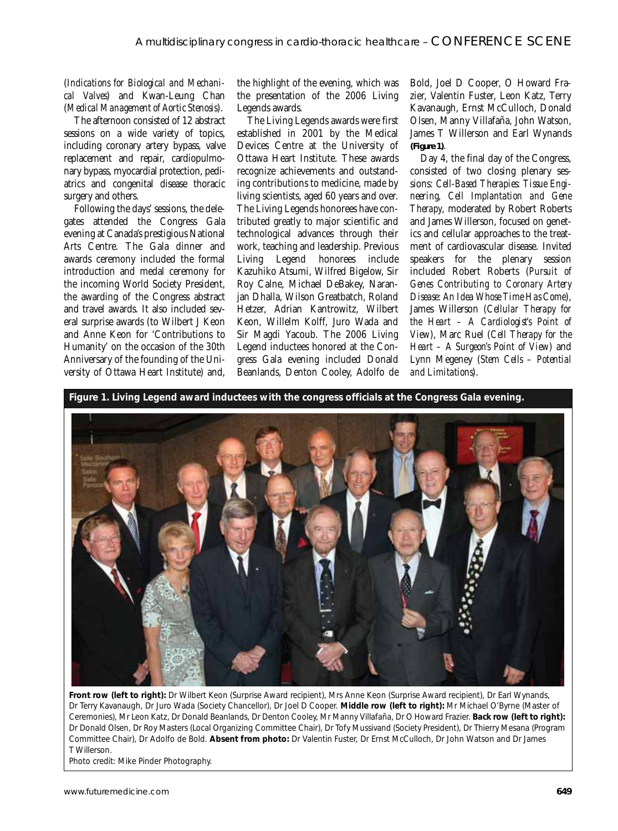(*Indications for Biological and Mechanical Valves*) and Kwan-Leung Chan (*Medical Management of Aortic Stenosis*).

The afternoon consisted of 12 abstract sessions on a wide variety of topics, including coronary artery bypass, valve replacement and repair, cardiopulmonary bypass, myocardial protection, pediatrics and congenital disease thoracic surgery and others.

Following the days' sessions, the delegates attended the Congress Gala evening at Canada's prestigious National Arts Centre. The Gala dinner and awards ceremony included the formal introduction and medal ceremony for the incoming World Society President, the awarding of the Congress abstract and travel awards. It also included several surprise awards (to Wilbert J Keon and Anne Keon for 'Contributions to Humanity' on the occasion of the 30th Anniversary of the founding of the University of Ottawa Heart Institute) and,

the highlight of the evening, which was the presentation of the 2006 Living Legends awards.

The Living Legends awards were first established in 2001 by the Medical Devices Centre at the University of Ottawa Heart Institute. These awards recognize achievements and outstanding contributions to medicine, made by living scientists, aged 60 years and over. The Living Legends honorees have contributed greatly to major scientific and technological advances through their work, teaching and leadership. Previous Living Legend honorees include Kazuhiko Atsumi, Wilfred Bigelow, Sir Roy Calne, Michael DeBakey, Naranjan Dhalla, Wilson Greatbatch, Roland Hetzer, Adrian Kantrowitz, Wilbert Keon, Willelm Kolff, Juro Wada and Sir Magdi Yacoub. The 2006 Living Legend inductees honored at the Congress Gala evening included Donald Beanlands, Denton Cooley, Adolfo de

Bold, Joel D Cooper, O Howard Frazier, Valentin Fuster, Leon Katz, Terry Kavanaugh, Ernst McCulloch, Donald Olsen, Manny Villafaña, John Watson, James T Willerson and Earl Wynands **(Figure 1)**.

Day 4, the final day of the Congress, consisted of two closing plenary sessions: *Cell-Based Therapies: Tissue Engineering, Cell Implantation and Gene Therapy*, moderated by Robert Roberts and James Willerson, focused on genetics and cellular approaches to the treatment of cardiovascular disease. Invited speakers for the plenary session included Robert Roberts (*Pursuit of Genes Contributing to Coronary Artery Disease: An Idea Whose Time Has Come*), James Willerson (*Cellular Therapy for the Heart – A Cardiologist's Point of View*), Marc Ruel (*Cell Therapy for the Heart – A Surgeon's Point of View*) and Lynn Megeney (*Stem Cells – Potential and Limitations*).

**Figure 1. Living Legend award inductees with the congress officials at the Congress Gala evening.**



**Front row (left to right):** Dr Wilbert Keon (Surprise Award recipient), Mrs Anne Keon (Surprise Award recipient), Dr Earl Wynands, Dr Terry Kavanaugh, Dr Juro Wada (Society Chancellor), Dr Joel D Cooper. **Middle row (left to right):** Mr Michael O'Byrne (Master of Ceremonies), Mr Leon Katz, Dr Donald Beanlands, Dr Denton Cooley, Mr Manny Villafaña, Dr O Howard Frazier. **Back row (left to right):** Dr Donald Olsen, Dr Roy Masters (Local Organizing Committee Chair), Dr Tofy Mussivand (Society President), Dr Thierry Mesana (Program Committee Chair), Dr Adolfo de Bold. **Absent from photo:** Dr Valentin Fuster, Dr Ernst McCulloch, Dr John Watson and Dr James T Willerson.

Photo credit: Mike Pinder Photography.